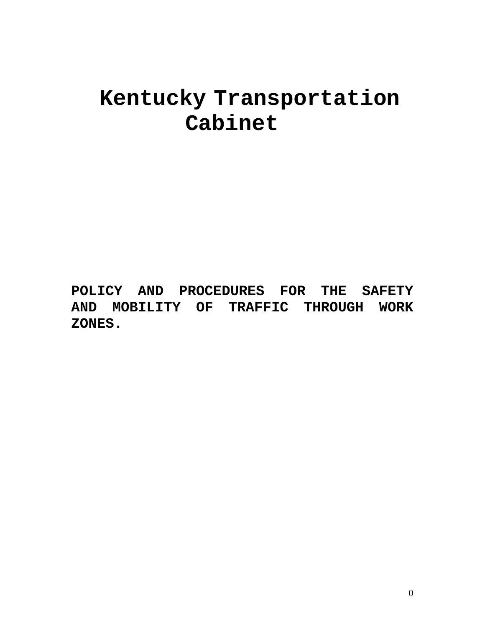# **Kentucky Transportation Cabinet**

**POLICY AND PROCEDURES FOR THE SAFETY AND MOBILITY OF TRAFFIC THROUGH WORK ZONES.**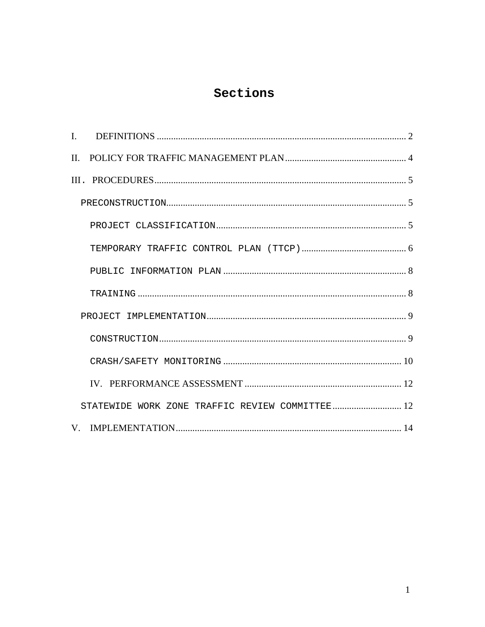### Sections

| $\Pi$ . |                                                 |  |
|---------|-------------------------------------------------|--|
|         |                                                 |  |
|         |                                                 |  |
|         |                                                 |  |
|         |                                                 |  |
|         |                                                 |  |
|         |                                                 |  |
|         |                                                 |  |
|         |                                                 |  |
|         |                                                 |  |
|         |                                                 |  |
|         | STATEWIDE WORK ZONE TRAFFIC REVIEW COMMITTEE 12 |  |
|         |                                                 |  |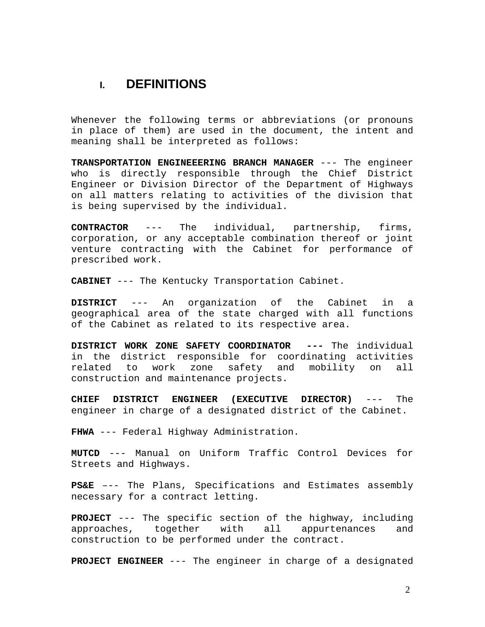### <span id="page-2-0"></span>**I. DEFINITIONS**

Whenever the following terms or abbreviations (or pronouns in place of them) are used in the document, the intent and meaning shall be interpreted as follows:

**TRANSPORTATION ENGINEEERING BRANCH MANAGER** --- The engineer who is directly responsible through the Chief District Engineer or Division Director of the Department of Highways on all matters relating to activities of the division that is being supervised by the individual.

**CONTRACTOR** --- The individual, partnership, firms, corporation, or any acceptable combination thereof or joint venture contracting with the Cabinet for performance of prescribed work.

**CABINET** --- The Kentucky Transportation Cabinet.

**DISTRICT** --- An organization of the Cabinet in a geographical area of the state charged with all functions of the Cabinet as related to its respective area.

**DISTRICT WORK ZONE SAFETY COORDINATOR ---** The individual in the district responsible for coordinating activities related to work zone safety and mobility on all construction and maintenance projects.

**CHIEF DISTRICT ENGINEER (EXECUTIVE DIRECTOR)** --- The engineer in charge of a designated district of the Cabinet.

**FHWA** --- Federal Highway Administration.

**MUTCD** --- Manual on Uniform Traffic Control Devices for Streets and Highways.

**PS&E** –-- The Plans, Specifications and Estimates assembly necessary for a contract letting.

**PROJECT** --- The specific section of the highway, including approaches, together with all appurtenances and construction to be performed under the contract.

**PROJECT ENGINEER** --- The engineer in charge of a designated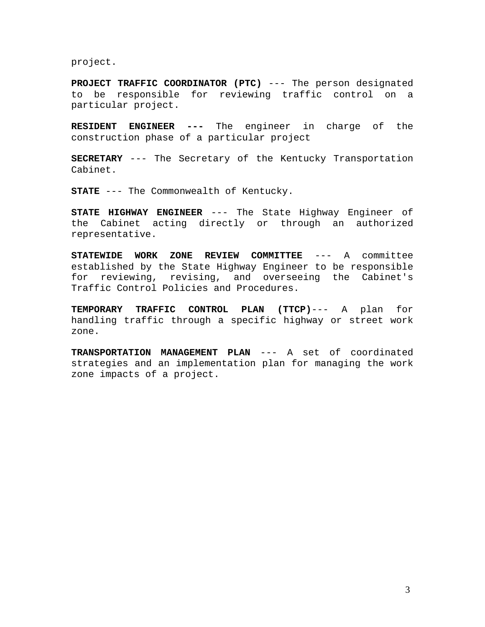project.

**PROJECT TRAFFIC COORDINATOR (PTC)** --- The person designated to be responsible for reviewing traffic control on a particular project.

**RESIDENT ENGINEER ---** The engineer in charge of the construction phase of a particular project

**SECRETARY** --- The Secretary of the Kentucky Transportation Cabinet.

**STATE** --- The Commonwealth of Kentucky.

**STATE HIGHWAY ENGINEER** --- The State Highway Engineer of the Cabinet acting directly or through an authorized representative.

**STATEWIDE WORK ZONE REVIEW COMMITTEE** --- A committee established by the State Highway Engineer to be responsible for reviewing, revising, and overseeing the Cabinet's Traffic Control Policies and Procedures.

**TEMPORARY TRAFFIC CONTROL PLAN (TTCP)**--- A plan for handling traffic through a specific highway or street work zone.

**TRANSPORTATION MANAGEMENT PLAN** --- A set of coordinated strategies and an implementation plan for managing the work zone impacts of a project.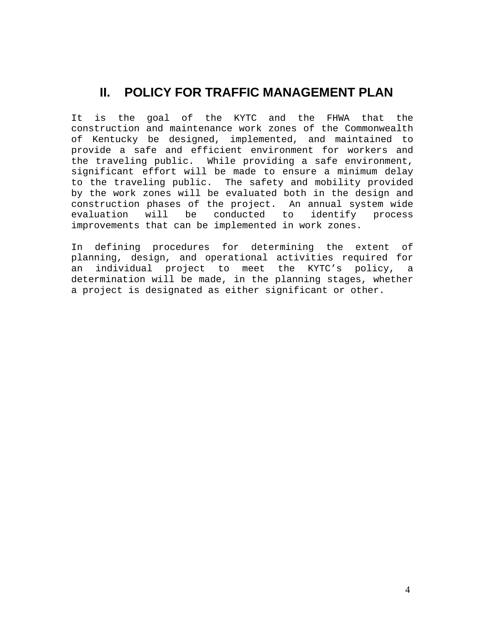## <span id="page-4-0"></span>**II. POLICY FOR TRAFFIC MANAGEMENT PLAN**

It is the goal of the KYTC and the FHWA that the construction and maintenance work zones of the Commonwealth of Kentucky be designed, implemented, and maintained to provide a safe and efficient environment for workers and the traveling public. While providing a safe environment, significant effort will be made to ensure a minimum delay to the traveling public. The safety and mobility provided by the work zones will be evaluated both in the design and construction phases of the project. An annual system wide evaluation will be conducted to identify process improvements that can be implemented in work zones.

In defining procedures for determining the extent of planning, design, and operational activities required for an individual project to meet the KYTC's policy, a determination will be made, in the planning stages, whether a project is designated as either significant or other.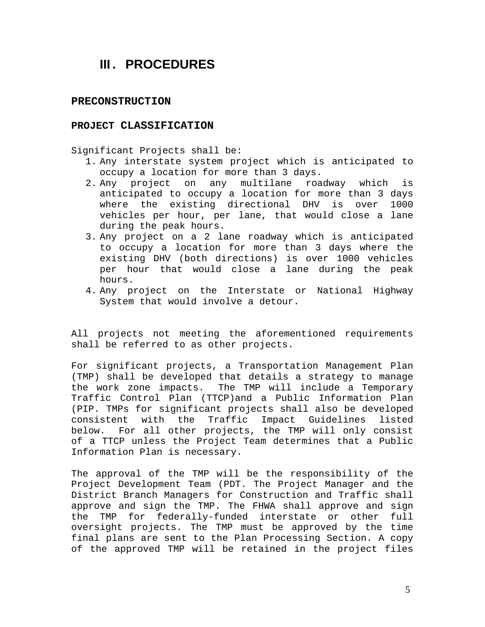### <span id="page-5-0"></span>**III. PROCEDURES**

#### **PRECONSTRUCTION**

#### **PROJECT CLASSIFICATION**

Significant Projects shall be:

- 1. Any interstate system project which is anticipated to occupy a location for more than 3 days.
- 2. Any project on any multilane roadway which is anticipated to occupy a location for more than 3 days where the existing directional DHV is over 1000 vehicles per hour, per lane, that would close a lane during the peak hours.
- 3. Any project on a 2 lane roadway which is anticipated to occupy a location for more than 3 days where the existing DHV (both directions) is over 1000 vehicles per hour that would close a lane during the peak hours.
- 4. Any project on the Interstate or National Highway System that would involve a detour.

All projects not meeting the aforementioned requirements shall be referred to as other projects.

For significant projects, a Transportation Management Plan (TMP) shall be developed that details a strategy to manage the work zone impacts. The TMP will include a Temporary Traffic Control Plan (TTCP)and a Public Information Plan (PIP. TMPs for significant projects shall also be developed consistent with the Traffic Impact Guidelines listed below. For all other projects, the TMP will only consist of a TTCP unless the Project Team determines that a Public Information Plan is necessary.

The approval of the TMP will be the responsibility of the Project Development Team (PDT. The Project Manager and the District Branch Managers for Construction and Traffic shall approve and sign the TMP. The FHWA shall approve and sign the TMP for federally-funded interstate or other full oversight projects. The TMP must be approved by the time final plans are sent to the Plan Processing Section. A copy of the approved TMP will be retained in the project files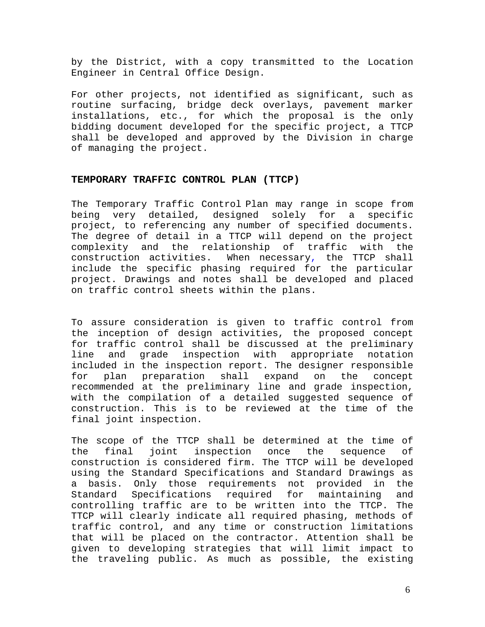<span id="page-6-0"></span>by the District, with a copy transmitted to the Location Engineer in Central Office Design.

For other projects, not identified as significant, such as routine surfacing, bridge deck overlays, pavement marker installations, etc., for which the proposal is the only bidding document developed for the specific project, a TTCP shall be developed and approved by the Division in charge of managing the project.

#### **TEMPORARY TRAFFIC CONTROL PLAN (TTCP)**

The Temporary Traffic Control Plan may range in scope from being very detailed, designed solely for a specific project, to referencing any number of specified documents. The degree of detail in a TTCP will depend on the project complexity and the relationship of traffic with the construction activities. When necessary, the TTCP shall include the specific phasing required for the particular project. Drawings and notes shall be developed and placed on traffic control sheets within the plans.

To assure consideration is given to traffic control from the inception of design activities, the proposed concept for traffic control shall be discussed at the preliminary line and grade inspection with appropriate notation included in the inspection report. The designer responsible for plan preparation shall expand on the concept recommended at the preliminary line and grade inspection, with the compilation of a detailed suggested sequence of construction. This is to be reviewed at the time of the final joint inspection.

The scope of the TTCP shall be determined at the time of the final joint inspection once the sequence of construction is considered firm. The TTCP will be developed using the Standard Specifications and Standard Drawings as a basis. Only those requirements not provided in the Standard Specifications required for maintaining and controlling traffic are to be written into the TTCP. The TTCP will clearly indicate all required phasing, methods of traffic control, and any time or construction limitations that will be placed on the contractor. Attention shall be given to developing strategies that will limit impact to the traveling public. As much as possible, the existing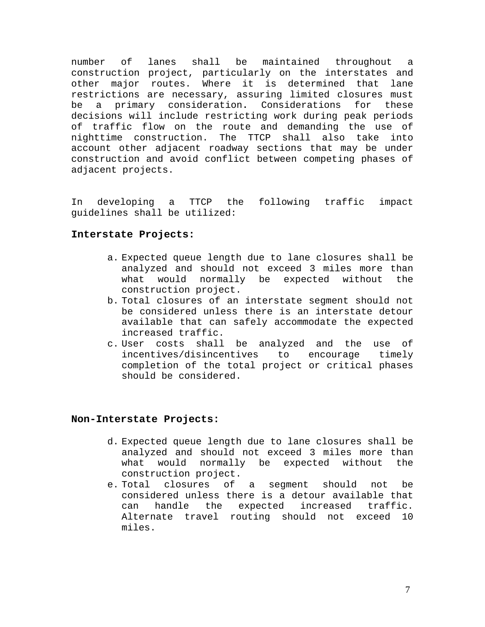number of lanes shall be maintained throughout a construction project, particularly on the interstates and other major routes. Where it is determined that lane restrictions are necessary, assuring limited closures must be a primary consideration**.** Considerations for these decisions will include restricting work during peak periods of traffic flow on the route and demanding the use of nighttime construction. The TTCP shall also take into account other adjacent roadway sections that may be under construction and avoid conflict between competing phases of adjacent projects.

In developing a TTCP the following traffic impact guidelines shall be utilized:

#### **Interstate Projects:**

- a. Expected queue length due to lane closures shall be analyzed and should not exceed 3 miles more than what would normally be expected without the construction project.
- b. Total closures of an interstate segment should not be considered unless there is an interstate detour available that can safely accommodate the expected increased traffic.
- c. User costs shall be analyzed and the use of incentives/disincentives to encourage timely completion of the total project or critical phases should be considered.

#### **Non-Interstate Projects:**

- d. Expected queue length due to lane closures shall be analyzed and should not exceed 3 miles more than what would normally be expected without the construction project.
- e. Total closures of a segment should not be considered unless there is a detour available that can handle the expected increased traffic. Alternate travel routing should not exceed 10 miles.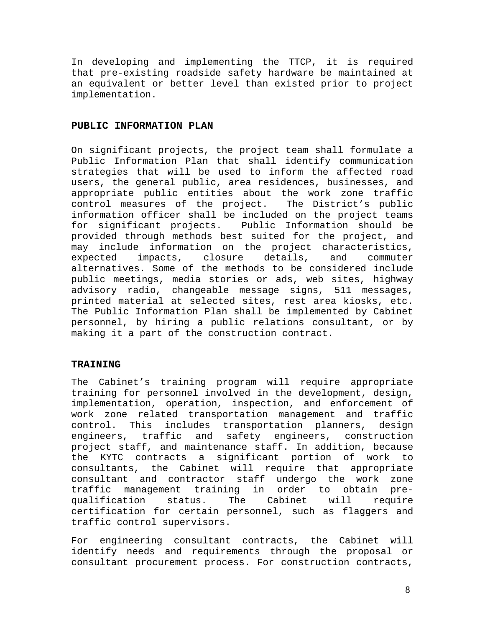<span id="page-8-0"></span>In developing and implementing the TTCP, it is required that pre-existing roadside safety hardware be maintained at an equivalent or better level than existed prior to project implementation.

#### **PUBLIC INFORMATION PLAN**

On significant projects, the project team shall formulate a Public Information Plan that shall identify communication strategies that will be used to inform the affected road users, the general public, area residences, businesses, and appropriate public entities about the work zone traffic control measures of the project. The District's public information officer shall be included on the project teams for significant projects. Public Information should be provided through methods best suited for the project, and may include information on the project characteristics, expected impacts, closure details, and commuter alternatives. Some of the methods to be considered include public meetings, media stories or ads, web sites, highway advisory radio, changeable message signs, 511 messages, printed material at selected sites, rest area kiosks, etc. The Public Information Plan shall be implemented by Cabinet personnel, by hiring a public relations consultant, or by making it a part of the construction contract.

#### **TRAINING**

The Cabinet's training program will require appropriate training for personnel involved in the development, design, implementation, operation, inspection, and enforcement of work zone related transportation management and traffic control. This includes transportation planners, design engineers, traffic and safety engineers, construction project staff, and maintenance staff. In addition, because the KYTC contracts a significant portion of work to consultants, the Cabinet will require that appropriate consultant and contractor staff undergo the work zone traffic management training in order to obtain prequalification status. The Cabinet will require certification for certain personnel, such as flaggers and traffic control supervisors.

For engineering consultant contracts, the Cabinet will identify needs and requirements through the proposal or consultant procurement process. For construction contracts,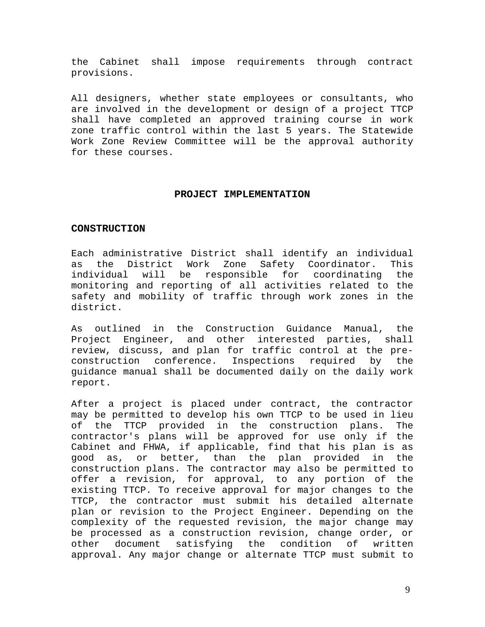<span id="page-9-0"></span>the Cabinet shall impose requirements through contract provisions.

All designers, whether state employees or consultants, who are involved in the development or design of a project TTCP shall have completed an approved training course in work zone traffic control within the last 5 years. The Statewide Work Zone Review Committee will be the approval authority for these courses.

#### **PROJECT IMPLEMENTATION**

#### **CONSTRUCTION**

Each administrative District shall identify an individual as the District Work Zone Safety Coordinator. This individual will be responsible for coordinating the monitoring and reporting of all activities related to the safety and mobility of traffic through work zones in the district.

As outlined in the Construction Guidance Manual, the Project Engineer, and other interested parties, shall review, discuss, and plan for traffic control at the preconstruction conference. Inspections required by the guidance manual shall be documented daily on the daily work report.

After a project is placed under contract, the contractor may be permitted to develop his own TTCP to be used in lieu of the TTCP provided in the construction plans. The contractor's plans will be approved for use only if the Cabinet and FHWA, if applicable, find that his plan is as good as, or better, than the plan provided in the construction plans. The contractor may also be permitted to offer a revision, for approval, to any portion of the existing TTCP. To receive approval for major changes to the TTCP, the contractor must submit his detailed alternate plan or revision to the Project Engineer. Depending on the complexity of the requested revision, the major change may be processed as a construction revision, change order, or other document satisfying the condition of written approval. Any major change or alternate TTCP must submit to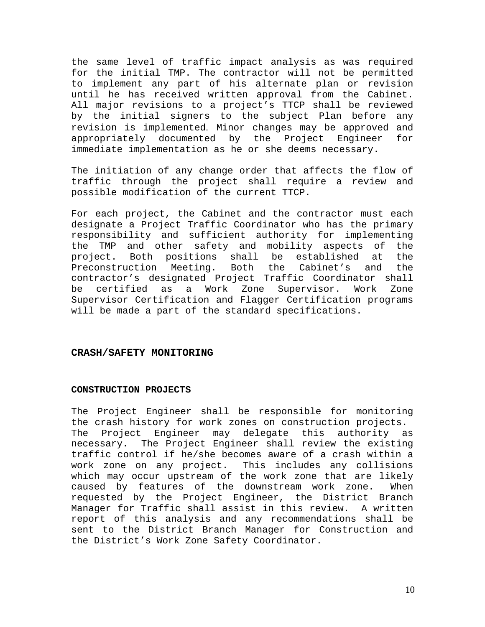<span id="page-10-0"></span>the same level of traffic impact analysis as was required for the initial TMP. The contractor will not be permitted to implement any part of his alternate plan or revision until he has received written approval from the Cabinet. All major revisions to a project's TTCP shall be reviewed by the initial signers to the subject Plan before any revision is implemented. Minor changes may be approved and appropriately documented by the Project Engineer for immediate implementation as he or she deems necessary.

The initiation of any change order that affects the flow of traffic through the project shall require a review and possible modification of the current TTCP.

For each project, the Cabinet and the contractor must each designate a Project Traffic Coordinator who has the primary responsibility and sufficient authority for implementing the TMP and other safety and mobility aspects of the project. Both positions shall be established at the Preconstruction Meeting. Both the Cabinet's and the contractor's designated Project Traffic Coordinator shall be certified as a Work Zone Supervisor. Work Zone Supervisor Certification and Flagger Certification programs will be made a part of the standard specifications.

#### **CRASH/SAFETY MONITORING**

#### **CONSTRUCTION PROJECTS**

The Project Engineer shall be responsible for monitoring the crash history for work zones on construction projects. The Project Engineer may delegate this authority as necessary. The Project Engineer shall review the existing traffic control if he/she becomes aware of a crash within a work zone on any project. This includes any collisions which may occur upstream of the work zone that are likely caused by features of the downstream work zone. When requested by the Project Engineer, the District Branch Manager for Traffic shall assist in this review. A written report of this analysis and any recommendations shall be sent to the District Branch Manager for Construction and the District's Work Zone Safety Coordinator.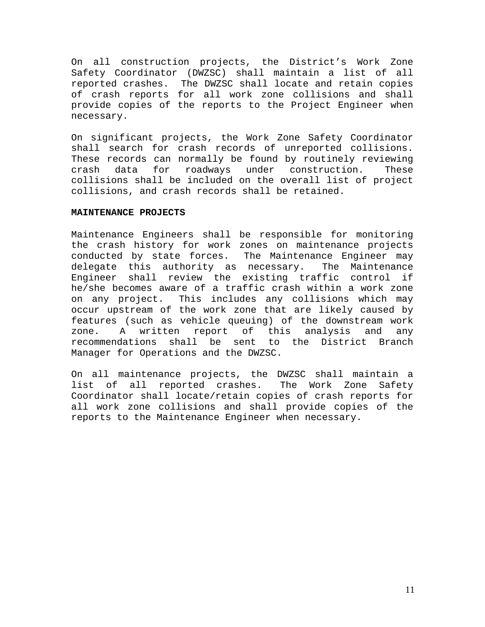On all construction projects, the District's Work Zone Safety Coordinator (DWZSC) shall maintain a list of all reported crashes. The DWZSC shall locate and retain copies of crash reports for all work zone collisions and shall provide copies of the reports to the Project Engineer when necessary.

On significant projects, the Work Zone Safety Coordinator shall search for crash records of unreported collisions. These records can normally be found by routinely reviewing crash data for roadways under construction. These collisions shall be included on the overall list of project collisions, and crash records shall be retained.

#### **MAINTENANCE PROJECTS**

Maintenance Engineers shall be responsible for monitoring the crash history for work zones on maintenance projects conducted by state forces. The Maintenance Engineer may delegate this authority as necessary. The Maintenance Engineer shall review the existing traffic control if he/she becomes aware of a traffic crash within a work zone on any project. This includes any collisions which may occur upstream of the work zone that are likely caused by features (such as vehicle queuing) of the downstream work zone. A written report of this analysis and any recommendations shall be sent to the District Branch Manager for Operations and the DWZSC.

On all maintenance projects, the DWZSC shall maintain a list of all reported crashes. The Work Zone Safety Coordinator shall locate/retain copies of crash reports for all work zone collisions and shall provide copies of the reports to the Maintenance Engineer when necessary.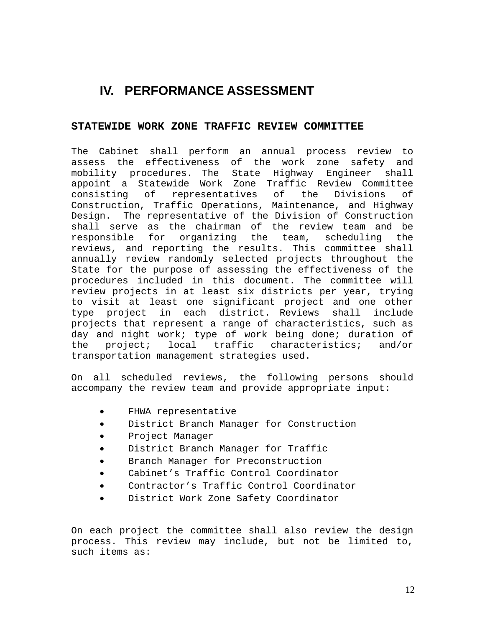## <span id="page-12-0"></span>**IV. PERFORMANCE ASSESSMENT**

#### **STATEWIDE WORK ZONE TRAFFIC REVIEW COMMITTEE**

The Cabinet shall perform an annual process review to assess the effectiveness of the work zone safety and mobility procedures. The State Highway Engineer shall appoint a Statewide Work Zone Traffic Review Committee consisting of representatives of the Divisions of Construction, Traffic Operations, Maintenance, and Highway Design. The representative of the Division of Construction shall serve as the chairman of the review team and be responsible for organizing the team, scheduling the reviews, and reporting the results. This committee shall annually review randomly selected projects throughout the State for the purpose of assessing the effectiveness of the procedures included in this document. The committee will review projects in at least six districts per year, trying to visit at least one significant project and one other type project in each district. Reviews shall include projects that represent a range of characteristics, such as day and night work; type of work being done; duration of the project; local traffic characteristics; and/or transportation management strategies used.

On all scheduled reviews, the following persons should accompany the review team and provide appropriate input:

- FHWA representative
- District Branch Manager for Construction
- Project Manager
- District Branch Manager for Traffic
- Branch Manager for Preconstruction
- Cabinet's Traffic Control Coordinator
- Contractor's Traffic Control Coordinator
- District Work Zone Safety Coordinator

On each project the committee shall also review the design process. This review may include, but not be limited to, such items as: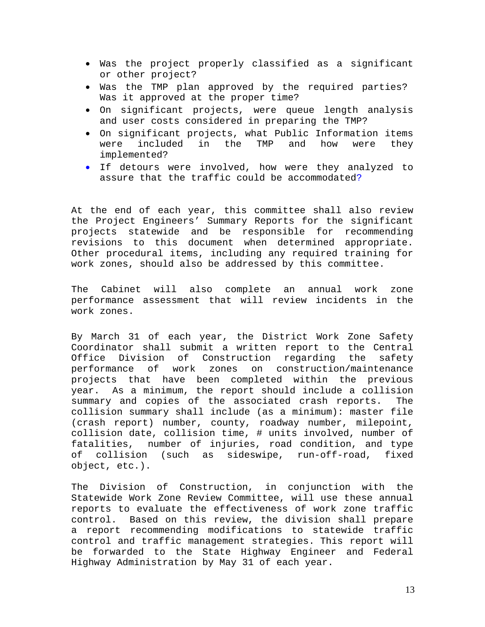- Was the project properly classified as a significant or other project?
- Was the TMP plan approved by the required parties? Was it approved at the proper time?
- On significant projects, were queue length analysis and user costs considered in preparing the TMP?
- On significant projects, what Public Information items were included in the TMP and how were they implemented?
- If detours were involved, how were they analyzed to assure that the traffic could be accommodated?

At the end of each year, this committee shall also review the Project Engineers' Summary Reports for the significant projects statewide and be responsible for recommending revisions to this document when determined appropriate. Other procedural items, including any required training for work zones, should also be addressed by this committee.

The Cabinet will also complete an annual work zone performance assessment that will review incidents in the work zones.

By March 31 of each year, the District Work Zone Safety Coordinator shall submit a written report to the Central Office Division of Construction regarding the safety performance of work zones on construction/maintenance projects that have been completed within the previous year. As a minimum, the report should include a collision summary and copies of the associated crash reports. The collision summary shall include (as a minimum): master file (crash report) number, county, roadway number, milepoint, collision date, collision time, # units involved, number of fatalities, number of injuries, road condition, and type of collision (such as sideswipe, run-off-road, fixed object, etc.).

The Division of Construction, in conjunction with the Statewide Work Zone Review Committee, will use these annual reports to evaluate the effectiveness of work zone traffic control. Based on this review, the division shall prepare a report recommending modifications to statewide traffic control and traffic management strategies. This report will be forwarded to the State Highway Engineer and Federal Highway Administration by May 31 of each year.